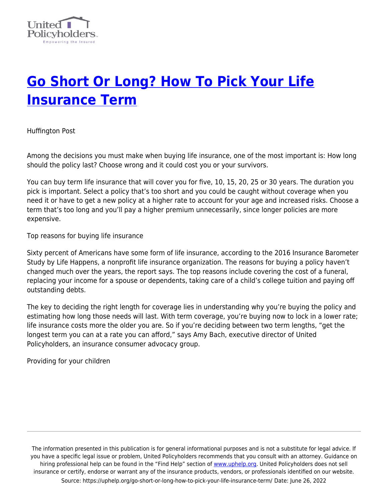

## **[Go Short Or Long? How To Pick Your Life](https://uphelp.org/go-short-or-long-how-to-pick-your-life-insurance-term/) [Insurance Term](https://uphelp.org/go-short-or-long-how-to-pick-your-life-insurance-term/)**

Huffington Post

Among the decisions you must make when buying life insurance, one of the most important is: How long should the policy last? Choose wrong and it could cost you or your survivors.

You can buy term life insurance that will cover you for five, 10, 15, 20, 25 or 30 years. The duration you pick is important. Select a policy that's too short and you could be caught without coverage when you need it or have to get a new policy at a higher rate to account for your age and increased risks. Choose a term that's too long and you'll pay a higher premium unnecessarily, since longer policies are more expensive.

Top reasons for buying life insurance

Sixty percent of Americans have some form of life insurance, according to the 2016 Insurance Barometer Study by Life Happens, a nonprofit life insurance organization. The reasons for buying a policy haven't changed much over the years, the report says. The top reasons include covering the cost of a funeral, replacing your income for a spouse or dependents, taking care of a child's college tuition and paying off outstanding debts.

The key to deciding the right length for coverage lies in understanding why you're buying the policy and estimating how long those needs will last. With term coverage, you're buying now to lock in a lower rate; life insurance costs more the older you are. So if you're deciding between two term lengths, "get the longest term you can at a rate you can afford," says Amy Bach, executive director of United Policyholders, an insurance consumer advocacy group.

Providing for your children

The information presented in this publication is for general informational purposes and is not a substitute for legal advice. If you have a specific legal issue or problem, United Policyholders recommends that you consult with an attorney. Guidance on hiring professional help can be found in the "Find Help" section of [www.uphelp.org.](http://www.uphelp.org/) United Policyholders does not sell insurance or certify, endorse or warrant any of the insurance products, vendors, or professionals identified on our website. Source: https://uphelp.org/go-short-or-long-how-to-pick-your-life-insurance-term/ Date: June 26, 2022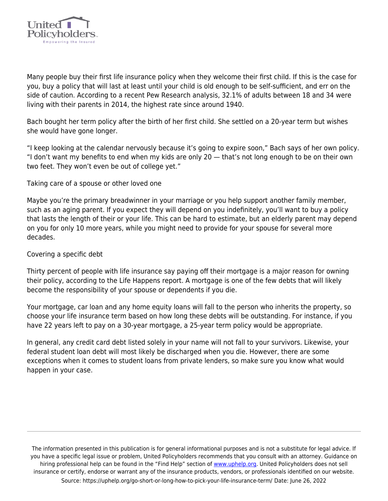

Many people buy their first life insurance policy when they welcome their first child. If this is the case for you, buy a policy that will last at least until your child is old enough to be self-sufficient, and err on the side of caution. According to a recent Pew Research analysis, 32.1% of adults between 18 and 34 were living with their parents in 2014, the highest rate since around 1940.

Bach bought her term policy after the birth of her first child. She settled on a 20-year term but wishes she would have gone longer.

"I keep looking at the calendar nervously because it's going to expire soon," Bach says of her own policy. "I don't want my benefits to end when my kids are only 20 — that's not long enough to be on their own two feet. They won't even be out of college yet."

Taking care of a spouse or other loved one

Maybe you're the primary breadwinner in your marriage or you help support another family member, such as an aging parent. If you expect they will depend on you indefinitely, you'll want to buy a policy that lasts the length of their or your life. This can be hard to estimate, but an elderly parent may depend on you for only 10 more years, while you might need to provide for your spouse for several more decades.

## Covering a specific debt

Thirty percent of people with life insurance say paying off their mortgage is a major reason for owning their policy, according to the Life Happens report. A mortgage is one of the few debts that will likely become the responsibility of your spouse or dependents if you die.

Your mortgage, car loan and any home equity loans will fall to the person who inherits the property, so choose your life insurance term based on how long these debts will be outstanding. For instance, if you have 22 years left to pay on a 30-year mortgage, a 25-year term policy would be appropriate.

In general, any credit card debt listed solely in your name will not fall to your survivors. Likewise, your federal student loan debt will most likely be discharged when you die. However, there are some exceptions when it comes to student loans from private lenders, so make sure you know what would happen in your case.

The information presented in this publication is for general informational purposes and is not a substitute for legal advice. If you have a specific legal issue or problem, United Policyholders recommends that you consult with an attorney. Guidance on hiring professional help can be found in the "Find Help" section of [www.uphelp.org.](http://www.uphelp.org/) United Policyholders does not sell insurance or certify, endorse or warrant any of the insurance products, vendors, or professionals identified on our website. Source: https://uphelp.org/go-short-or-long-how-to-pick-your-life-insurance-term/ Date: June 26, 2022